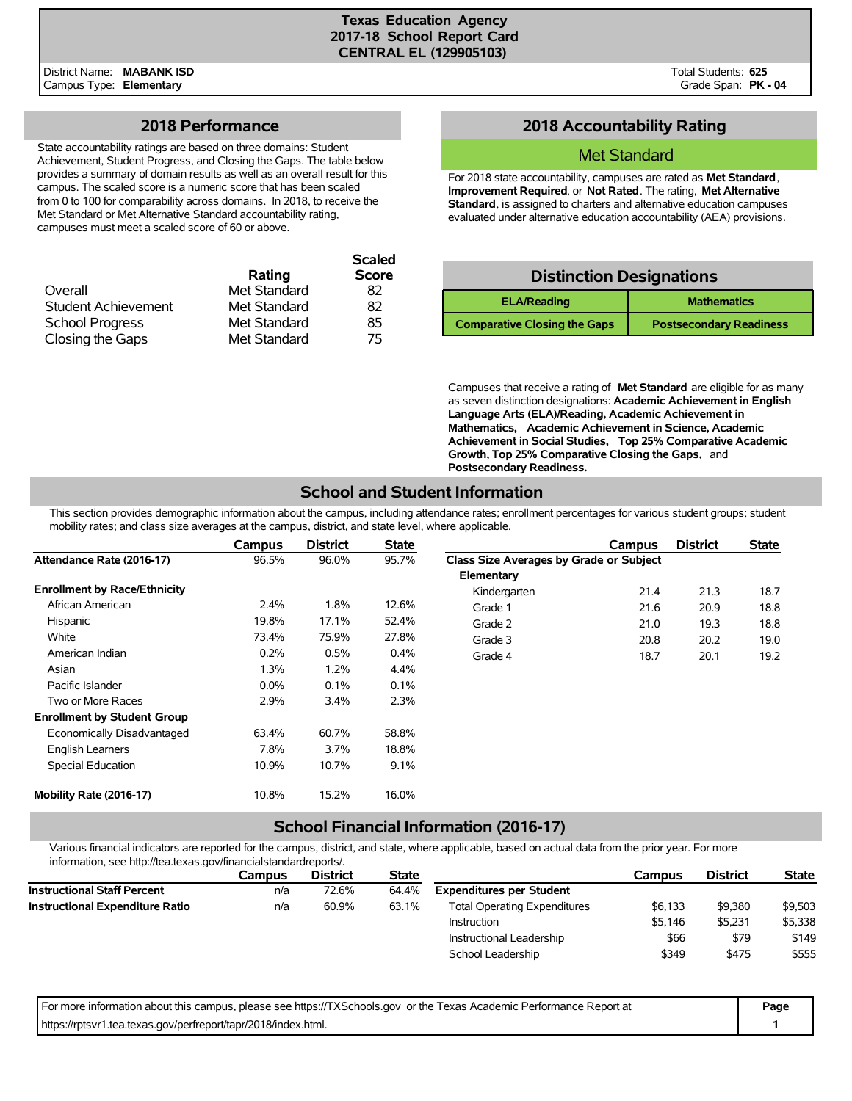**Scaled**

## **2018 Performance**

State accountability ratings are based on three domains: Student Achievement, Student Progress, and Closing the Gaps. The table below provides a summary of domain results as well as an overall result for this campus. The scaled score is a numeric score that has been scaled from 0 to 100 for comparability across domains. In 2018, to receive the Met Standard or Met Alternative Standard accountability rating, campuses must meet a scaled score of 60 or above.

|              | <b>Scaled</b> |
|--------------|---------------|
| Rating       | <b>Score</b>  |
| Met Standard | 82            |
| Met Standard | 82            |
| Met Standard | 85            |
| Met Standard | 75            |
|              |               |

# **2018 Accountability Rating**

## Met Standard

For 2018 state accountability, campuses are rated as **Met Standard**, **Improvement Required**, or **Not Rated**. The rating, **Met Alternative Standard**, is assigned to charters and alternative education campuses evaluated under alternative education accountability (AEA) provisions.

# **Distinction Designations**

| <b>ELA/Reading</b>                  | <b>Mathematics</b>             |
|-------------------------------------|--------------------------------|
| <b>Comparative Closing the Gaps</b> | <b>Postsecondary Readiness</b> |

Campuses that receive a rating of **Met Standard** are eligible for as many as seven distinction designations: **Academic Achievement in English Language Arts (ELA)/Reading, Academic Achievement in Mathematics, Academic Achievement in Science, Academic Achievement in Social Studies, Top 25% Comparative Academic Growth, Top 25% Comparative Closing the Gaps,** and **Postsecondary Readiness.**

# **School and Student Information**

This section provides demographic information about the campus, including attendance rates; enrollment percentages for various student groups; student mobility rates; and class size averages at the campus, district, and state level, where applicable.

|                                     | <b>Campus</b> | <b>District</b> | <b>State</b> |                                         | Campus | <b>District</b> | <b>State</b> |
|-------------------------------------|---------------|-----------------|--------------|-----------------------------------------|--------|-----------------|--------------|
| Attendance Rate (2016-17)           | 96.5%         | 96.0%           | 95.7%        | Class Size Averages by Grade or Subject |        |                 |              |
|                                     |               |                 |              | Elementary                              |        |                 |              |
| <b>Enrollment by Race/Ethnicity</b> |               |                 |              | Kindergarten                            | 21.4   | 21.3            | 18.7         |
| African American                    | 2.4%          | 1.8%            | 12.6%        | Grade 1                                 | 21.6   | 20.9            | 18.8         |
| Hispanic                            | 19.8%         | 17.1%           | 52.4%        | Grade 2                                 | 21.0   | 19.3            | 18.8         |
| White                               | 73.4%         | 75.9%           | 27.8%        | Grade 3                                 | 20.8   | 20.2            | 19.0         |
| American Indian                     | 0.2%          | 0.5%            | $0.4\%$      | Grade 4                                 | 18.7   | 20.1            | 19.2         |
| Asian                               | 1.3%          | 1.2%            | 4.4%         |                                         |        |                 |              |
| Pacific Islander                    | $0.0\%$       | 0.1%            | 0.1%         |                                         |        |                 |              |
| Two or More Races                   | 2.9%          | 3.4%            | 2.3%         |                                         |        |                 |              |
| <b>Enrollment by Student Group</b>  |               |                 |              |                                         |        |                 |              |
| Economically Disadvantaged          | 63.4%         | 60.7%           | 58.8%        |                                         |        |                 |              |
| <b>English Learners</b>             | 7.8%          | 3.7%            | 18.8%        |                                         |        |                 |              |
| <b>Special Education</b>            | 10.9%         | 10.7%           | 9.1%         |                                         |        |                 |              |
| Mobility Rate (2016-17)             | 10.8%         | 15.2%           | 16.0%        |                                         |        |                 |              |

## **School Financial Information (2016-17)**

Various financial indicators are reported for the campus, district, and state, where applicable, based on actual data from the prior year. For more information, see http://tea.texas.gov/financialstandardreports/.

|                                        | Campus | <b>District</b> | <b>State</b> |                                     | Campus  | <b>District</b> | <b>State</b> |
|----------------------------------------|--------|-----------------|--------------|-------------------------------------|---------|-----------------|--------------|
| <b>Instructional Staff Percent</b>     | n/a    | 72.6%           | 64.4%        | <b>Expenditures per Student</b>     |         |                 |              |
| <b>Instructional Expenditure Ratio</b> | n/a    | 60.9%           | 63.1%        | <b>Total Operating Expenditures</b> | \$6.133 | \$9,380         | \$9,503      |
|                                        |        |                 |              | Instruction                         | \$5.146 | \$5.231         | \$5,338      |
|                                        |        |                 |              | Instructional Leadership            | \$66    | \$79            | \$149        |
|                                        |        |                 |              | School Leadership                   | \$349   | \$475           | \$555        |

| For more information about this campus, please see https://TXSchools.gov or the Texas Academic Performance Report at | Page |
|----------------------------------------------------------------------------------------------------------------------|------|
| https://rptsvr1.tea.texas.gov/perfreport/tapr/2018/index.html.                                                       |      |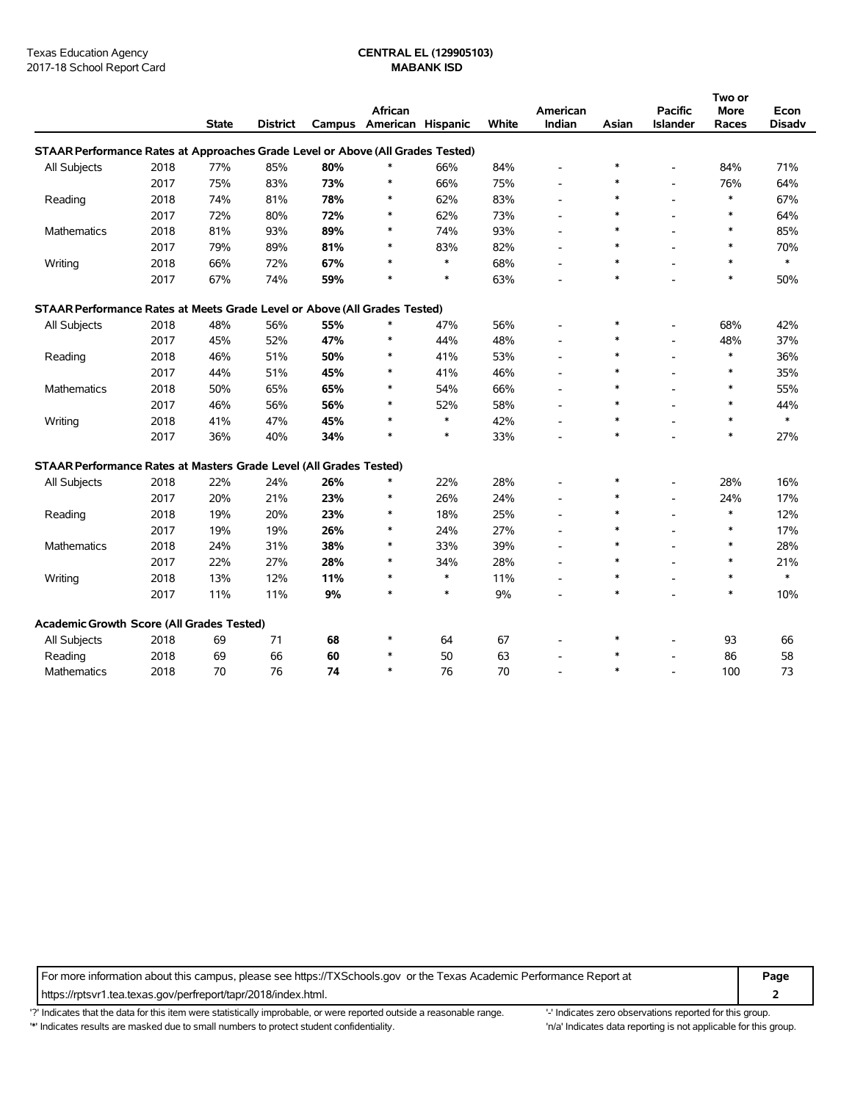|                                                                                |      |              |                 |        |                   |        |       |                          |        |                          | Two or |               |
|--------------------------------------------------------------------------------|------|--------------|-----------------|--------|-------------------|--------|-------|--------------------------|--------|--------------------------|--------|---------------|
|                                                                                |      |              |                 |        | African           |        |       | American                 |        | <b>Pacific</b>           | More   | Econ          |
|                                                                                |      | <b>State</b> | <b>District</b> | Campus | American Hispanic |        | White | Indian                   | Asian  | Islander                 | Races  | <b>Disadv</b> |
| STAAR Performance Rates at Approaches Grade Level or Above (All Grades Tested) |      |              |                 |        |                   |        |       |                          |        |                          |        |               |
| All Subjects                                                                   | 2018 | 77%          | 85%             | 80%    | $\ast$            | 66%    | 84%   |                          | $\ast$ | $\overline{\phantom{a}}$ | 84%    | 71%           |
|                                                                                | 2017 | 75%          | 83%             | 73%    | $\ast$            | 66%    | 75%   |                          | $\ast$ | $\overline{\phantom{a}}$ | 76%    | 64%           |
| Reading                                                                        | 2018 | 74%          | 81%             | 78%    | *                 | 62%    | 83%   |                          | $\ast$ | $\overline{\phantom{a}}$ | $\ast$ | 67%           |
|                                                                                | 2017 | 72%          | 80%             | 72%    | $\ast$            | 62%    | 73%   |                          | $\ast$ | $\overline{a}$           | $\ast$ | 64%           |
| <b>Mathematics</b>                                                             | 2018 | 81%          | 93%             | 89%    | $\ast$            | 74%    | 93%   |                          | $\ast$ | $\overline{a}$           | $\ast$ | 85%           |
|                                                                                | 2017 | 79%          | 89%             | 81%    | $\ast$            | 83%    | 82%   |                          | $\ast$ | $\overline{a}$           | $\ast$ | 70%           |
| Writing                                                                        | 2018 | 66%          | 72%             | 67%    | $\ast$            | $\ast$ | 68%   |                          | $\ast$ | $\overline{\phantom{a}}$ | $\ast$ | $\ast$        |
|                                                                                | 2017 | 67%          | 74%             | 59%    | $\ast$            | $\ast$ | 63%   |                          | $\ast$ |                          | $\ast$ | 50%           |
| STAAR Performance Rates at Meets Grade Level or Above (All Grades Tested)      |      |              |                 |        |                   |        |       |                          |        |                          |        |               |
| All Subjects                                                                   | 2018 | 48%          | 56%             | 55%    | *                 | 47%    | 56%   |                          | $\ast$ |                          | 68%    | 42%           |
|                                                                                | 2017 | 45%          | 52%             | 47%    | $\ast$            | 44%    | 48%   |                          | $\ast$ | $\overline{a}$           | 48%    | 37%           |
| Reading                                                                        | 2018 | 46%          | 51%             | 50%    | $\ast$            | 41%    | 53%   |                          | $\ast$ | $\overline{a}$           | $\ast$ | 36%           |
|                                                                                | 2017 | 44%          | 51%             | 45%    | *                 | 41%    | 46%   |                          | $\ast$ | $\overline{a}$           | $\ast$ | 35%           |
| <b>Mathematics</b>                                                             | 2018 | 50%          | 65%             | 65%    | $\ast$            | 54%    | 66%   |                          | $\ast$ | $\overline{\phantom{a}}$ | $\ast$ | 55%           |
|                                                                                | 2017 | 46%          | 56%             | 56%    | $\ast$            | 52%    | 58%   |                          | $\ast$ | $\overline{\phantom{a}}$ | $\ast$ | 44%           |
| Writing                                                                        | 2018 | 41%          | 47%             | 45%    | $\ast$            | $\ast$ | 42%   | $\overline{\phantom{a}}$ | *      | $\overline{a}$           | $\ast$ | $\ast$        |
|                                                                                | 2017 | 36%          | 40%             | 34%    | $\ast$            | $\ast$ | 33%   |                          | $\ast$ |                          | $\ast$ | 27%           |
| STAAR Performance Rates at Masters Grade Level (All Grades Tested)             |      |              |                 |        |                   |        |       |                          |        |                          |        |               |
| All Subjects                                                                   | 2018 | 22%          | 24%             | 26%    | *                 | 22%    | 28%   |                          | $\ast$ | $\overline{\phantom{a}}$ | 28%    | 16%           |
|                                                                                | 2017 | 20%          | 21%             | 23%    | $\ast$            | 26%    | 24%   |                          | $\ast$ | $\overline{a}$           | 24%    | 17%           |
| Reading                                                                        | 2018 | 19%          | 20%             | 23%    | ∗                 | 18%    | 25%   |                          | $\ast$ | $\overline{\phantom{a}}$ | $\ast$ | 12%           |
|                                                                                | 2017 | 19%          | 19%             | 26%    | $\ast$            | 24%    | 27%   |                          | $\ast$ | $\overline{\phantom{a}}$ | $\ast$ | 17%           |
| Mathematics                                                                    | 2018 | 24%          | 31%             | 38%    | $\ast$            | 33%    | 39%   |                          | $\ast$ | $\overline{\phantom{a}}$ | $\ast$ | 28%           |
|                                                                                | 2017 | 22%          | 27%             | 28%    | $\ast$            | 34%    | 28%   | $\overline{\phantom{a}}$ | $\ast$ | $\overline{a}$           | $\ast$ | 21%           |
| Writing                                                                        | 2018 | 13%          | 12%             | 11%    | $\ast$            | $\ast$ | 11%   | $\overline{\phantom{a}}$ | $\ast$ | $\overline{a}$           | $\ast$ | $\ast$        |
|                                                                                | 2017 | 11%          | 11%             | 9%     | $\ast$            | $\ast$ | 9%    |                          | $\ast$ |                          | $\ast$ | 10%           |
| Academic Growth Score (All Grades Tested)                                      |      |              |                 |        |                   |        |       |                          |        |                          |        |               |
| All Subjects                                                                   | 2018 | 69           | 71              | 68     | $\ast$            | 64     | 67    |                          | $\ast$ |                          | 93     | 66            |
| Reading                                                                        | 2018 | 69           | 66              | 60     | $\ast$            | 50     | 63    |                          | $\ast$ | $\overline{\phantom{a}}$ | 86     | 58            |
| <b>Mathematics</b>                                                             | 2018 | 70           | 76              | 74     | $\ast$            | 76     | 70    |                          | $\ast$ | $\overline{a}$           | 100    | 73            |

For more information about this campus, please see https://TXSchools.gov or the Texas Academic Performance Report at **Page**

https://rptsvr1.tea.texas.gov/perfreport/tapr/2018/index.html. **2**

'?' Indicates that the data for this item were statistically improbable, or were reported outside a reasonable range. '' Indicates zero observations reported for this group.

'\*' Indicates results are masked due to small numbers to protect student confidentiality. 'n/a' Indicates data reporting is not applicable for this group.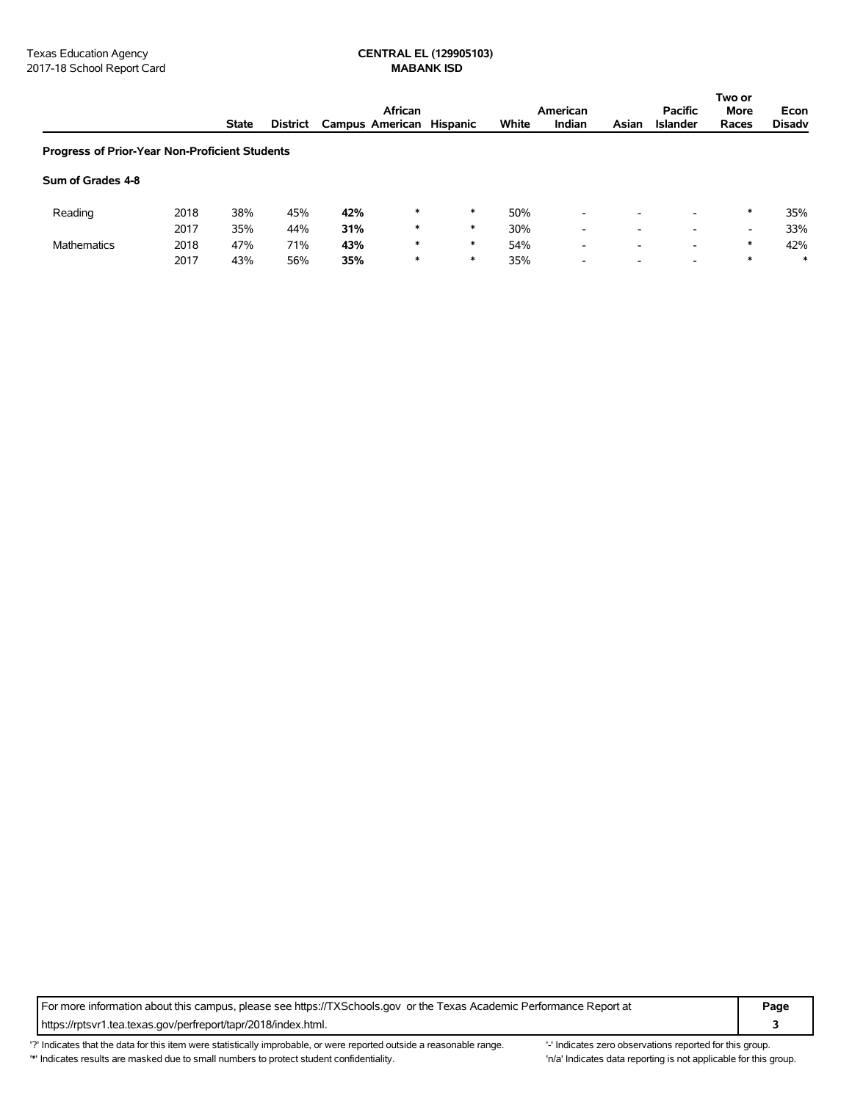|                                                |      |              |                 |                          | African |        |       | American                 |                          | <b>Pacific</b>           | Two or<br><b>More</b>    | Econ          |
|------------------------------------------------|------|--------------|-----------------|--------------------------|---------|--------|-------|--------------------------|--------------------------|--------------------------|--------------------------|---------------|
|                                                |      | <b>State</b> | <b>District</b> | Campus American Hispanic |         |        | White | Indian                   | Asian                    | <b>Islander</b>          | Races                    | <b>Disadv</b> |
| Progress of Prior-Year Non-Proficient Students |      |              |                 |                          |         |        |       |                          |                          |                          |                          |               |
| Sum of Grades 4-8                              |      |              |                 |                          |         |        |       |                          |                          |                          |                          |               |
| Reading                                        | 2018 | 38%          | 45%             | 42%                      | $\ast$  | *      | 50%   | $\overline{\phantom{a}}$ |                          | $\overline{\phantom{a}}$ | $\ast$                   | 35%           |
|                                                | 2017 | 35%          | 44%             | 31%                      | $\ast$  | *      | 30%   | $\overline{\phantom{a}}$ | $\overline{\phantom{a}}$ | $\overline{\phantom{a}}$ | $\overline{\phantom{a}}$ | 33%           |
| <b>Mathematics</b>                             | 2018 | 47%          | 71%             | 43%                      | $\ast$  | $\ast$ | 54%   | $\overline{\phantom{a}}$ |                          | $\overline{\phantom{a}}$ | $\ast$                   | 42%           |
|                                                | 2017 | 43%          | 56%             | 35%                      | $\ast$  | $\ast$ | 35%   | $\overline{\phantom{a}}$ |                          | $\overline{\phantom{0}}$ | $\ast$                   | $\ast$        |

For more information about this campus, please see https://TXSchools.gov or the Texas Academic Performance Report at **Page** https://rptsvr1.tea.texas.gov/perfreport/tapr/2018/index.html. **3**

'?' Indicates that the data for this item were statistically improbable, or were reported outside a reasonable range. "Indicates zero observations reported for this group. '\*' Indicates results are masked due to small numbers to protect student confidentiality. 
"n/a' Indicates data reporting is not applicable for this group.